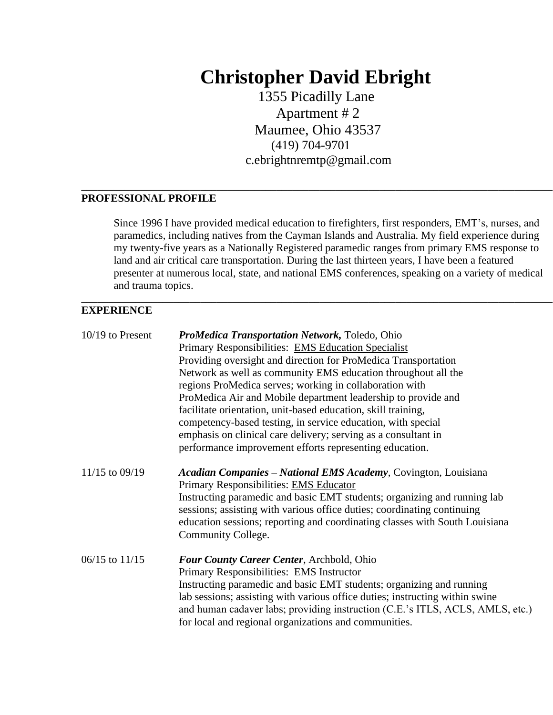# **Christopher David Ebright**

 1355 Picadilly Lane Apartment # 2 Maumee, Ohio 43537 (419) 704-9701 c.ebrightnremtp@gmail.com

\_\_\_\_\_\_\_\_\_\_\_\_\_\_\_\_\_\_\_\_\_\_\_\_\_\_\_\_\_\_\_\_\_\_\_\_\_\_\_\_\_\_\_\_\_\_\_\_\_\_\_\_\_\_\_\_\_\_\_\_\_\_\_\_\_\_\_\_\_\_\_\_\_\_\_\_\_\_\_\_\_\_\_\_\_\_\_

#### **PROFESSIONAL PROFILE**

Since 1996 I have provided medical education to firefighters, first responders, EMT's, nurses, and paramedics, including natives from the Cayman Islands and Australia. My field experience during my twenty-five years as a Nationally Registered paramedic ranges from primary EMS response to land and air critical care transportation. During the last thirteen years, I have been a featured presenter at numerous local, state, and national EMS conferences, speaking on a variety of medical and trauma topics.

\_\_\_\_\_\_\_\_\_\_\_\_\_\_\_\_\_\_\_\_\_\_\_\_\_\_\_\_\_\_\_\_\_\_\_\_\_\_\_\_\_\_\_\_\_\_\_\_\_\_\_\_\_\_\_\_\_\_\_\_\_\_\_\_\_\_\_\_\_\_\_\_\_\_\_\_\_\_\_\_\_\_\_\_\_\_\_

### **EXPERIENCE**

| $10/19$ to Present | ProMedica Transportation Network, Toledo, Ohio                                                                                                      |
|--------------------|-----------------------------------------------------------------------------------------------------------------------------------------------------|
|                    | Primary Responsibilities: EMS Education Specialist                                                                                                  |
|                    | Providing oversight and direction for ProMedica Transportation                                                                                      |
|                    | Network as well as community EMS education throughout all the                                                                                       |
|                    | regions ProMedica serves; working in collaboration with                                                                                             |
|                    | ProMedica Air and Mobile department leadership to provide and                                                                                       |
|                    | facilitate orientation, unit-based education, skill training,                                                                                       |
|                    | competency-based testing, in service education, with special                                                                                        |
|                    | emphasis on clinical care delivery; serving as a consultant in                                                                                      |
|                    | performance improvement efforts representing education.                                                                                             |
| 11/15 to 09/19     | <b>Acadian Companies – National EMS Academy, Covington, Louisiana</b><br>Primary Responsibilities: EMS Educator                                     |
|                    | Instructing paramedic and basic EMT students; organizing and running lab<br>sessions; assisting with various office duties; coordinating continuing |
|                    | education sessions; reporting and coordinating classes with South Louisiana                                                                         |
|                    | Community College.                                                                                                                                  |
| $06/15$ to $11/15$ | Four County Career Center, Archbold, Ohio                                                                                                           |
|                    | Primary Responsibilities: EMS Instructor                                                                                                            |
|                    | Instructing paramedic and basic EMT students; organizing and running                                                                                |
|                    | lab sessions; assisting with various office duties; instructing within swine                                                                        |
|                    | and human cadaver labs; providing instruction (C.E.'s ITLS, ACLS, AMLS, etc.)                                                                       |
|                    | for local and regional organizations and communities.                                                                                               |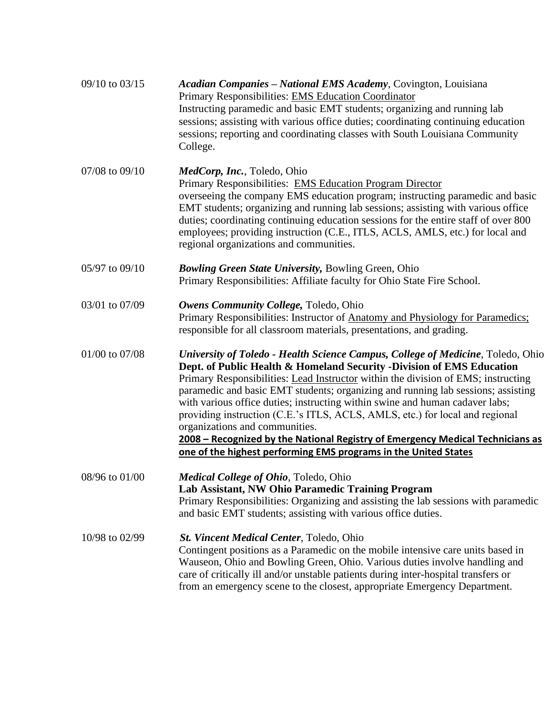| 09/10 to 03/15 | <b>Acadian Companies – National EMS Academy, Covington, Louisiana</b><br>Primary Responsibilities: EMS Education Coordinator<br>Instructing paramedic and basic EMT students; organizing and running lab<br>sessions; assisting with various office duties; coordinating continuing education<br>sessions; reporting and coordinating classes with South Louisiana Community<br>College.                                                                                                                                                                                                                                                                                                 |
|----------------|------------------------------------------------------------------------------------------------------------------------------------------------------------------------------------------------------------------------------------------------------------------------------------------------------------------------------------------------------------------------------------------------------------------------------------------------------------------------------------------------------------------------------------------------------------------------------------------------------------------------------------------------------------------------------------------|
| 07/08 to 09/10 | <i>MedCorp, Inc., Toledo, Ohio</i><br>Primary Responsibilities: EMS Education Program Director<br>overseeing the company EMS education program; instructing paramedic and basic<br>EMT students; organizing and running lab sessions; assisting with various office<br>duties; coordinating continuing education sessions for the entire staff of over 800<br>employees; providing instruction (C.E., ITLS, ACLS, AMLS, etc.) for local and<br>regional organizations and communities.                                                                                                                                                                                                   |
| 05/97 to 09/10 | <b>Bowling Green State University, Bowling Green, Ohio</b><br>Primary Responsibilities: Affiliate faculty for Ohio State Fire School.                                                                                                                                                                                                                                                                                                                                                                                                                                                                                                                                                    |
| 03/01 to 07/09 | Owens Community College, Toledo, Ohio<br>Primary Responsibilities: Instructor of Anatomy and Physiology for Paramedics;<br>responsible for all classroom materials, presentations, and grading.                                                                                                                                                                                                                                                                                                                                                                                                                                                                                          |
| 01/00 to 07/08 | University of Toledo - Health Science Campus, College of Medicine, Toledo, Ohio<br>Dept. of Public Health & Homeland Security -Division of EMS Education<br>Primary Responsibilities: Lead Instructor within the division of EMS; instructing<br>paramedic and basic EMT students; organizing and running lab sessions; assisting<br>with various office duties; instructing within swine and human cadaver labs;<br>providing instruction (C.E.'s ITLS, ACLS, AMLS, etc.) for local and regional<br>organizations and communities.<br>2008 - Recognized by the National Registry of Emergency Medical Technicians as<br>one of the highest performing EMS programs in the United States |
| 08/96 to 01/00 | Medical College of Ohio, Toledo, Ohio<br>Lab Assistant, NW Ohio Paramedic Training Program<br>Primary Responsibilities: Organizing and assisting the lab sessions with paramedic<br>and basic EMT students; assisting with various office duties.                                                                                                                                                                                                                                                                                                                                                                                                                                        |
| 10/98 to 02/99 | St. Vincent Medical Center, Toledo, Ohio<br>Contingent positions as a Paramedic on the mobile intensive care units based in<br>Wauseon, Ohio and Bowling Green, Ohio. Various duties involve handling and<br>care of critically ill and/or unstable patients during inter-hospital transfers or<br>from an emergency scene to the closest, appropriate Emergency Department.                                                                                                                                                                                                                                                                                                             |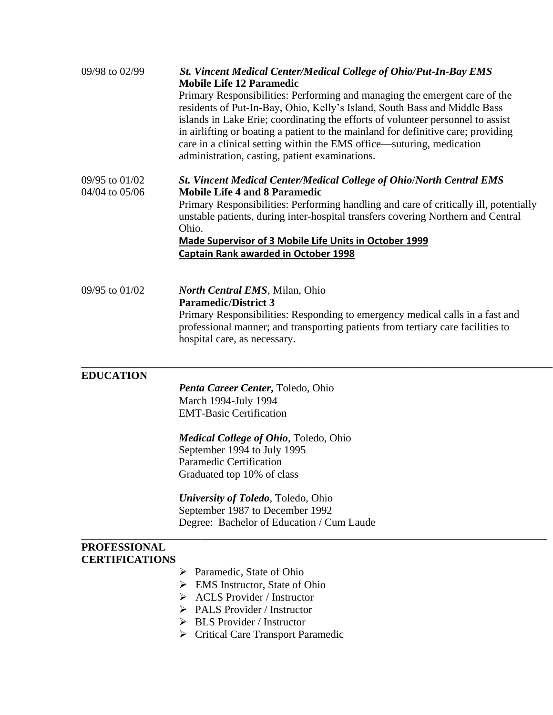| 09/98 to 02/99                               | St. Vincent Medical Center/Medical College of Ohio/Put-In-Bay EMS<br><b>Mobile Life 12 Paramedic</b><br>Primary Responsibilities: Performing and managing the emergent care of the<br>residents of Put-In-Bay, Ohio, Kelly's Island, South Bass and Middle Bass<br>islands in Lake Erie; coordinating the efforts of volunteer personnel to assist<br>in airlifting or boating a patient to the mainland for definitive care; providing<br>care in a clinical setting within the EMS office—suturing, medication<br>administration, casting, patient examinations. |
|----------------------------------------------|--------------------------------------------------------------------------------------------------------------------------------------------------------------------------------------------------------------------------------------------------------------------------------------------------------------------------------------------------------------------------------------------------------------------------------------------------------------------------------------------------------------------------------------------------------------------|
| 09/95 to 01/02<br>04/04 to 05/06             | <b>St. Vincent Medical Center/Medical College of Ohio/North Central EMS</b><br><b>Mobile Life 4 and 8 Paramedic</b><br>Primary Responsibilities: Performing handling and care of critically ill, potentially<br>unstable patients, during inter-hospital transfers covering Northern and Central<br>Ohio.<br><b>Made Supervisor of 3 Mobile Life Units in October 1999</b><br><b>Captain Rank awarded in October 1998</b>                                                                                                                                          |
| 09/95 to 01/02                               | <b>North Central EMS</b> , Milan, Ohio<br><b>Paramedic/District 3</b><br>Primary Responsibilities: Responding to emergency medical calls in a fast and<br>professional manner; and transporting patients from tertiary care facilities to<br>hospital care, as necessary.                                                                                                                                                                                                                                                                                          |
| <b>EDUCATION</b>                             | <b>Penta Career Center, Toledo, Ohio</b><br>March 1994-July 1994<br><b>EMT-Basic Certification</b><br><b>Medical College of Ohio</b> , Toledo, Ohio<br>September 1994 to July 1995<br><b>Paramedic Certification</b><br>Graduated top 10% of class<br>University of Toledo, Toledo, Ohio<br>September 1987 to December 1992<br>Degree: Bachelor of Education / Cum Laude                                                                                                                                                                                           |
| <b>PROFESSIONAL</b><br><b>CERTIFICATIONS</b> | Paramedic, State of Ohio<br>➤<br>EMS Instructor, State of Ohio<br>➤<br><b>ACLS</b> Provider / Instructor<br>➤<br>PALS Provider / Instructor<br><b>BLS</b> Provider / Instructor<br>➤<br><b>Critical Care Transport Paramedic</b><br>➤                                                                                                                                                                                                                                                                                                                              |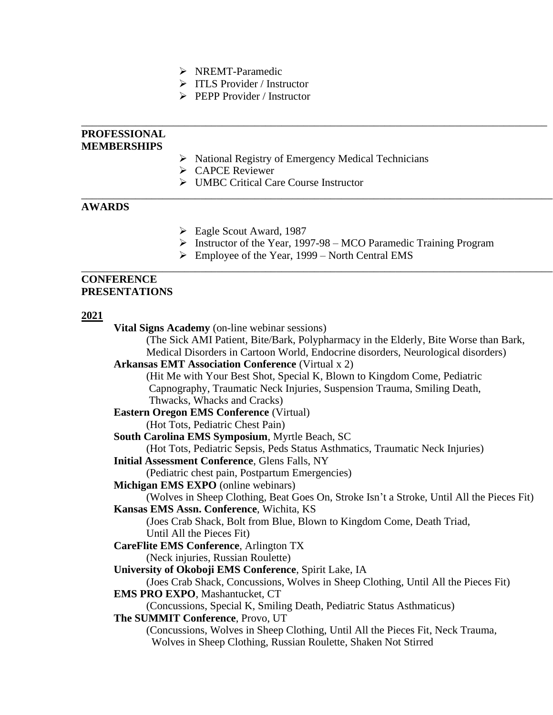- ➢ NREMT-Paramedic
- ➢ ITLS Provider / Instructor
- ➢ PEPP Provider / Instructor

|               | PROFESSIONAL<br><b>MEMBERSHIPS</b>                                                        |  |
|---------------|-------------------------------------------------------------------------------------------|--|
|               | $\triangleright$ National Registry of Emergency Medical Technicians                       |  |
|               | $\triangleright$ CAPCE Reviewer                                                           |  |
|               | <b>UMBC Critical Care Course Instructor</b>                                               |  |
| <b>AWARDS</b> |                                                                                           |  |
|               | $\triangleright$ Eagle Scout Award, 1987                                                  |  |
|               | $\triangleright$ Instructor of the Year, 1997-98 – MCO Paramedic Training Program         |  |
|               | Employee of the Year, 1999 – North Central EMS<br>➤                                       |  |
|               | <b>CONFERENCE</b><br>PRESENTATIONS                                                        |  |
| <u>2021</u>   |                                                                                           |  |
|               | <b>Vital Signs Academy</b> (on-line webinar sessions)                                     |  |
|               | (The Sick AMI Patient, Bite/Bark, Polypharmacy in the Elderly, Bite Worse than Bark,      |  |
|               | Medical Disorders in Cartoon World, Endocrine disorders, Neurological disorders)          |  |
|               | <b>Arkansas EMT Association Conference (Virtual x 2)</b>                                  |  |
|               | (Hit Me with Your Best Shot, Special K, Blown to Kingdom Come, Pediatric                  |  |
|               | Capnography, Traumatic Neck Injuries, Suspension Trauma, Smiling Death,                   |  |
|               | Thwacks, Whacks and Cracks)                                                               |  |
|               | <b>Eastern Oregon EMS Conference (Virtual)</b>                                            |  |
|               | (Hot Tots, Pediatric Chest Pain)                                                          |  |
|               | South Carolina EMS Symposium, Myrtle Beach, SC                                            |  |
|               | (Hot Tots, Pediatric Sepsis, Peds Status Asthmatics, Traumatic Neck Injuries)             |  |
|               | <b>Initial Assessment Conference, Glens Falls, NY</b>                                     |  |
|               | (Pediatric chest pain, Postpartum Emergencies)                                            |  |
|               | Michigan EMS EXPO (online webinars)                                                       |  |
|               | (Wolves in Sheep Clothing, Beat Goes On, Stroke Isn't a Stroke, Until All the Pieces Fit) |  |
|               | Kansas EMS Assn. Conference, Wichita, KS                                                  |  |
|               | (Joes Crab Shack, Bolt from Blue, Blown to Kingdom Come, Death Triad,                     |  |
|               | Until All the Pieces Fit)                                                                 |  |
|               | <b>CareFlite EMS Conference</b> , Arlington TX                                            |  |
|               | (Neck injuries, Russian Roulette)                                                         |  |
|               | University of Okoboji EMS Conference, Spirit Lake, IA                                     |  |
|               | (Joes Crab Shack, Concussions, Wolves in Sheep Clothing, Until All the Pieces Fit)        |  |
|               | <b>EMS PRO EXPO, Mashantucket, CT</b>                                                     |  |

(Concussions, Special K, Smiling Death, Pediatric Status Asthmaticus)

**The SUMMIT Conference**, Provo, UT

(Concussions, Wolves in Sheep Clothing, Until All the Pieces Fit, Neck Trauma, Wolves in Sheep Clothing, Russian Roulette, Shaken Not Stirred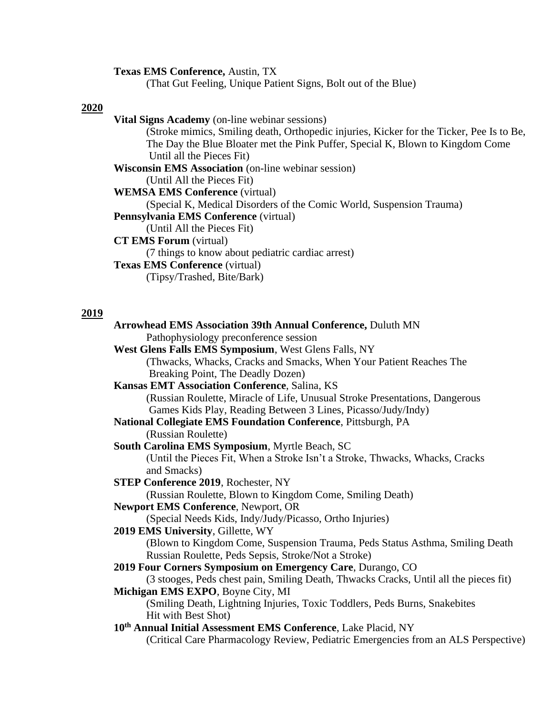**Texas EMS Conference,** Austin, TX

(That Gut Feeling, Unique Patient Signs, Bolt out of the Blue)

#### **2020**

#### **2019**

**Arrowhead EMS Association 39th Annual Conference,** Duluth MN Pathophysiology preconference session **West Glens Falls EMS Symposium**, West Glens Falls, NY (Thwacks, Whacks, Cracks and Smacks, When Your Patient Reaches The Breaking Point, The Deadly Dozen) **Kansas EMT Association Conference**, Salina, KS (Russian Roulette, Miracle of Life, Unusual Stroke Presentations, Dangerous Games Kids Play, Reading Between 3 Lines, Picasso/Judy/Indy) **National Collegiate EMS Foundation Conference**, Pittsburgh, PA (Russian Roulette) **South Carolina EMS Symposium**, Myrtle Beach, SC (Until the Pieces Fit, When a Stroke Isn't a Stroke, Thwacks, Whacks, Cracks and Smacks) **STEP Conference 2019**, Rochester, NY (Russian Roulette, Blown to Kingdom Come, Smiling Death) **Newport EMS Conference**, Newport, OR (Special Needs Kids, Indy/Judy/Picasso, Ortho Injuries) **2019 EMS University**, Gillette, WY (Blown to Kingdom Come, Suspension Trauma, Peds Status Asthma, Smiling Death Russian Roulette, Peds Sepsis, Stroke/Not a Stroke) **2019 Four Corners Symposium on Emergency Care**, Durango, CO (3 stooges, Peds chest pain, Smiling Death, Thwacks Cracks, Until all the pieces fit) **Michigan EMS EXPO**, Boyne City, MI (Smiling Death, Lightning Injuries, Toxic Toddlers, Peds Burns, Snakebites Hit with Best Shot) **10th Annual Initial Assessment EMS Conference**, Lake Placid, NY (Critical Care Pharmacology Review, Pediatric Emergencies from an ALS Perspective)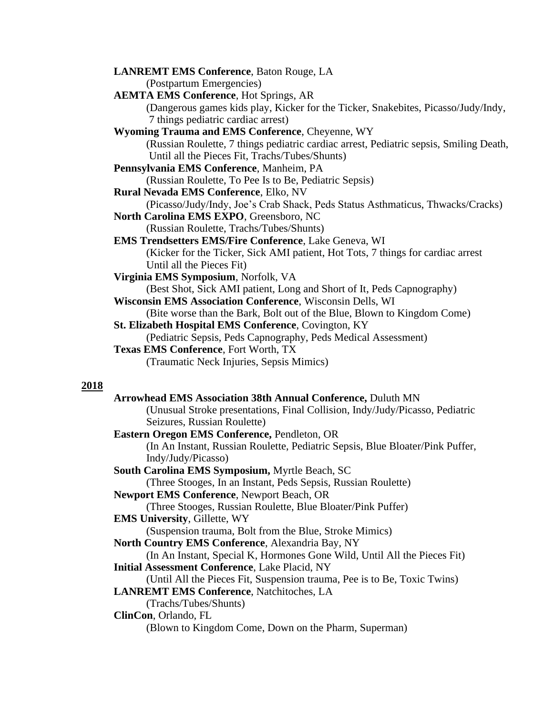| <b>LANREMT EMS Conference</b> , Baton Rouge, LA                                        |
|----------------------------------------------------------------------------------------|
| (Postpartum Emergencies)                                                               |
| <b>AEMTA EMS Conference</b> , Hot Springs, AR                                          |
| (Dangerous games kids play, Kicker for the Ticker, Snakebites, Picasso/Judy/Indy,      |
| 7 things pediatric cardiac arrest)                                                     |
| <b>Wyoming Trauma and EMS Conference, Cheyenne, WY</b>                                 |
| (Russian Roulette, 7 things pediatric cardiac arrest, Pediatric sepsis, Smiling Death, |
| Until all the Pieces Fit, Trachs/Tubes/Shunts)                                         |
| Pennsylvania EMS Conference, Manheim, PA                                               |
| (Russian Roulette, To Pee Is to Be, Pediatric Sepsis)                                  |
| Rural Nevada EMS Conference, Elko, NV                                                  |
| (Picasso/Judy/Indy, Joe's Crab Shack, Peds Status Asthmaticus, Thwacks/Cracks)         |
| North Carolina EMS EXPO, Greensboro, NC                                                |
| (Russian Roulette, Trachs/Tubes/Shunts)                                                |
| <b>EMS Trendsetters EMS/Fire Conference, Lake Geneva, WI</b>                           |
| (Kicker for the Ticker, Sick AMI patient, Hot Tots, 7 things for cardiac arrest        |
| Until all the Pieces Fit)                                                              |
| Virginia EMS Symposium, Norfolk, VA                                                    |
| (Best Shot, Sick AMI patient, Long and Short of It, Peds Capnography)                  |
| <b>Wisconsin EMS Association Conference, Wisconsin Dells, WI</b>                       |
| (Bite worse than the Bark, Bolt out of the Blue, Blown to Kingdom Come)                |
| <b>St. Elizabeth Hospital EMS Conference, Covington, KY</b>                            |
| (Pediatric Sepsis, Peds Capnography, Peds Medical Assessment)                          |
| Texas EMS Conference, Fort Worth, TX                                                   |
| (Traumatic Neck Injuries, Sepsis Mimics)                                               |
|                                                                                        |
|                                                                                        |

#### **2018**

**Arrowhead EMS Association 38th Annual Conference,** Duluth MN (Unusual Stroke presentations, Final Collision, Indy/Judy/Picasso, Pediatric Seizures, Russian Roulette) **Eastern Oregon EMS Conference,** Pendleton, OR (In An Instant, Russian Roulette, Pediatric Sepsis, Blue Bloater/Pink Puffer, Indy/Judy/Picasso) **South Carolina EMS Symposium,** Myrtle Beach, SC (Three Stooges, In an Instant, Peds Sepsis, Russian Roulette) **Newport EMS Conference**, Newport Beach, OR (Three Stooges, Russian Roulette, Blue Bloater/Pink Puffer) **EMS University**, Gillette, WY (Suspension trauma, Bolt from the Blue, Stroke Mimics) **North Country EMS Conference**, Alexandria Bay, NY (In An Instant, Special K, Hormones Gone Wild, Until All the Pieces Fit) **Initial Assessment Conference**, Lake Placid, NY (Until All the Pieces Fit, Suspension trauma, Pee is to Be, Toxic Twins) **LANREMT EMS Conference**, Natchitoches, LA (Trachs/Tubes/Shunts) **ClinCon**, Orlando, FL (Blown to Kingdom Come, Down on the Pharm, Superman)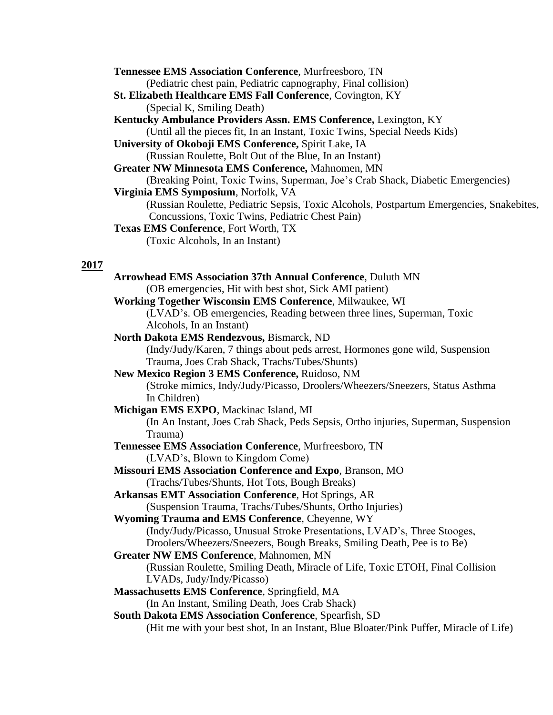|             | <b>Tennessee EMS Association Conference, Murfreesboro, TN</b>                            |
|-------------|------------------------------------------------------------------------------------------|
|             | (Pediatric chest pain, Pediatric capnography, Final collision)                           |
|             | St. Elizabeth Healthcare EMS Fall Conference, Covington, KY                              |
|             | (Special K, Smiling Death)                                                               |
|             | Kentucky Ambulance Providers Assn. EMS Conference, Lexington, KY                         |
|             | (Until all the pieces fit, In an Instant, Toxic Twins, Special Needs Kids)               |
|             | University of Okoboji EMS Conference, Spirit Lake, IA                                    |
|             | (Russian Roulette, Bolt Out of the Blue, In an Instant)                                  |
|             | Greater NW Minnesota EMS Conference, Mahnomen, MN                                        |
|             | (Breaking Point, Toxic Twins, Superman, Joe's Crab Shack, Diabetic Emergencies)          |
|             | Virginia EMS Symposium, Norfolk, VA                                                      |
|             | (Russian Roulette, Pediatric Sepsis, Toxic Alcohols, Postpartum Emergencies, Snakebites, |
|             | Concussions, Toxic Twins, Pediatric Chest Pain)                                          |
|             | Texas EMS Conference, Fort Worth, TX                                                     |
|             | (Toxic Alcohols, In an Instant)                                                          |
| <u>2017</u> |                                                                                          |
|             | Arrowhead EMS Association 37th Annual Conference, Duluth MN                              |
|             | (OB emergencies, Hit with best shot, Sick AMI patient)                                   |
|             | Working Together Wisconsin EMS Conference, Milwaukee, WI                                 |
|             | (LVAD's. OB emergencies, Reading between three lines, Superman, Toxic                    |
|             | Alcohols, In an Instant)                                                                 |
|             | North Dakota EMS Rendezvous, Bismarck, ND                                                |
|             | (Indy/Judy/Karen, 7 things about peds arrest, Hormones gone wild, Suspension             |
|             | Trauma, Joes Crab Shack, Trachs/Tubes/Shunts)                                            |
|             | New Mexico Region 3 EMS Conference, Ruidoso, NM                                          |
|             | (Stroke mimics, Indy/Judy/Picasso, Droolers/Wheezers/Sneezers, Status Asthma             |
|             | In Children)                                                                             |
|             | Michigan EMS EXPO, Mackinac Island, MI                                                   |
|             | (In An Instant, Joes Crab Shack, Peds Sepsis, Ortho injuries, Superman, Suspension       |
|             | Trauma)                                                                                  |
|             | Tennessee EMS Association Conference, Murfreesboro, TN                                   |
|             | (LVAD's, Blown to Kingdom Come)                                                          |
|             | <b>Missouri EMS Association Conference and Expo, Branson, MO</b>                         |
|             | (Trachs/Tubes/Shunts, Hot Tots, Bough Breaks)                                            |
|             | <b>Arkansas EMT Association Conference</b> , Hot Springs, AR                             |
|             | (Suspension Trauma, Trachs/Tubes/Shunts, Ortho Injuries)                                 |
|             | Wyoming Trauma and EMS Conference, Cheyenne, WY                                          |
|             | (Indy/Judy/Picasso, Unusual Stroke Presentations, LVAD's, Three Stooges,                 |
|             | Droolers/Wheezers/Sneezers, Bough Breaks, Smiling Death, Pee is to Be)                   |
|             | Greater NW EMS Conference, Mahnomen, MN                                                  |
|             | (Russian Roulette, Smiling Death, Miracle of Life, Toxic ETOH, Final Collision           |
|             | LVADs, Judy/Indy/Picasso)                                                                |
|             | Massachusetts EMS Conference, Springfield, MA                                            |
|             | (In An Instant, Smiling Death, Joes Crab Shack)                                          |
|             | South Dakota EMS Association Conference, Spearfish, SD                                   |
|             | (Hit me with your best shot, In an Instant, Blue Bloater/Pink Puffer, Miracle of Life)   |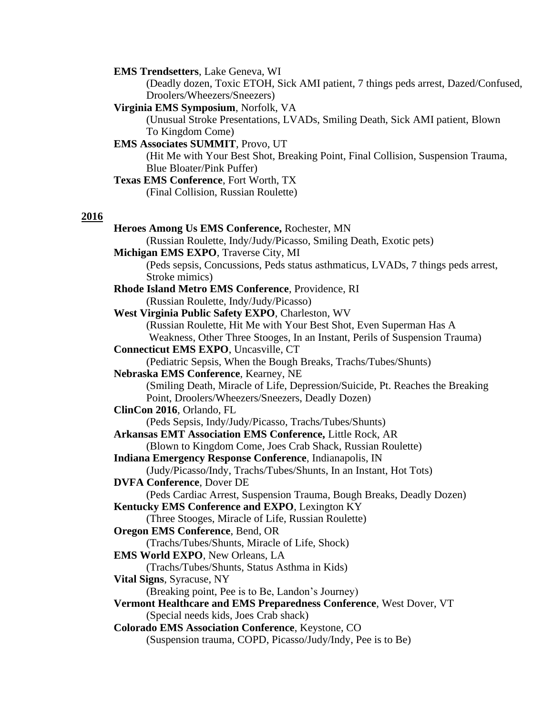**EMS Trendsetters**, Lake Geneva, WI

(Deadly dozen, Toxic ETOH, Sick AMI patient, 7 things peds arrest, Dazed/Confused, Droolers/Wheezers/Sneezers)

**Virginia EMS Symposium**, Norfolk, VA

(Unusual Stroke Presentations, LVADs, Smiling Death, Sick AMI patient, Blown To Kingdom Come)

**EMS Associates SUMMIT**, Provo, UT

(Hit Me with Your Best Shot, Breaking Point, Final Collision, Suspension Trauma, Blue Bloater/Pink Puffer)

## **Texas EMS Conference**, Fort Worth, TX

(Final Collision, Russian Roulette)

#### **2016**

**Heroes Among Us EMS Conference,** Rochester, MN (Russian Roulette, Indy/Judy/Picasso, Smiling Death, Exotic pets) **Michigan EMS EXPO**, Traverse City, MI (Peds sepsis, Concussions, Peds status asthmaticus, LVADs, 7 things peds arrest, Stroke mimics) **Rhode Island Metro EMS Conference**, Providence, RI (Russian Roulette, Indy/Judy/Picasso) **West Virginia Public Safety EXPO**, Charleston, WV (Russian Roulette, Hit Me with Your Best Shot, Even Superman Has A Weakness, Other Three Stooges, In an Instant, Perils of Suspension Trauma) **Connecticut EMS EXPO**, Uncasville, CT (Pediatric Sepsis, When the Bough Breaks, Trachs/Tubes/Shunts) **Nebraska EMS Conference**, Kearney, NE (Smiling Death, Miracle of Life, Depression/Suicide, Pt. Reaches the Breaking Point, Droolers/Wheezers/Sneezers, Deadly Dozen) **ClinCon 2016**, Orlando, FL (Peds Sepsis, Indy/Judy/Picasso, Trachs/Tubes/Shunts) **Arkansas EMT Association EMS Conference,** Little Rock, AR (Blown to Kingdom Come, Joes Crab Shack, Russian Roulette) **Indiana Emergency Response Conference**, Indianapolis, IN (Judy/Picasso/Indy, Trachs/Tubes/Shunts, In an Instant, Hot Tots) **DVFA Conference**, Dover DE (Peds Cardiac Arrest, Suspension Trauma, Bough Breaks, Deadly Dozen) **Kentucky EMS Conference and EXPO**, Lexington KY (Three Stooges, Miracle of Life, Russian Roulette) **Oregon EMS Conference**, Bend, OR (Trachs/Tubes/Shunts, Miracle of Life, Shock) **EMS World EXPO**, New Orleans, LA (Trachs/Tubes/Shunts, Status Asthma in Kids) **Vital Signs**, Syracuse, NY (Breaking point, Pee is to Be, Landon's Journey) **Vermont Healthcare and EMS Preparedness Conference**, West Dover, VT (Special needs kids, Joes Crab shack) **Colorado EMS Association Conference**, Keystone, CO (Suspension trauma, COPD, Picasso/Judy/Indy, Pee is to Be)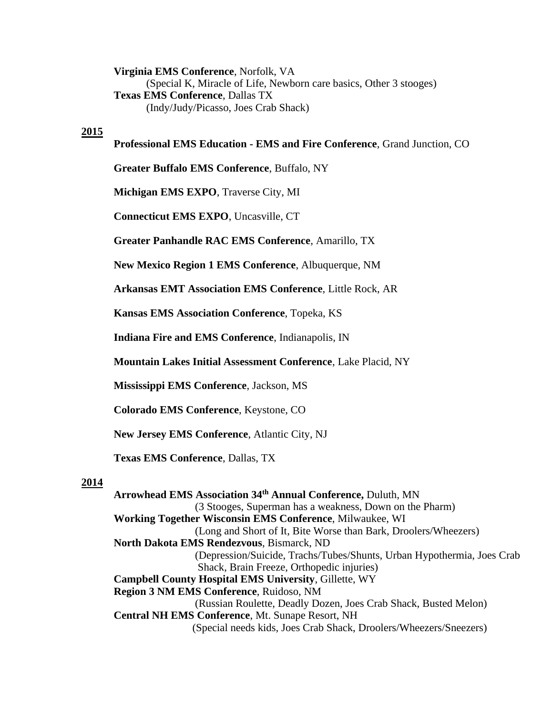**Virginia EMS Conference**, Norfolk, VA (Special K, Miracle of Life, Newborn care basics, Other 3 stooges) **Texas EMS Conference**, Dallas TX (Indy/Judy/Picasso, Joes Crab Shack)

#### **2015**

#### **Professional EMS Education - EMS and Fire Conference**, Grand Junction, CO

**Greater Buffalo EMS Conference**, Buffalo, NY

**Michigan EMS EXPO**, Traverse City, MI

**Connecticut EMS EXPO**, Uncasville, CT

**Greater Panhandle RAC EMS Conference**, Amarillo, TX

**New Mexico Region 1 EMS Conference**, Albuquerque, NM

**Arkansas EMT Association EMS Conference**, Little Rock, AR

**Kansas EMS Association Conference**, Topeka, KS

**Indiana Fire and EMS Conference**, Indianapolis, IN

**Mountain Lakes Initial Assessment Conference**, Lake Placid, NY

**Mississippi EMS Conference**, Jackson, MS

**Colorado EMS Conference**, Keystone, CO

**New Jersey EMS Conference**, Atlantic City, NJ

**Texas EMS Conference**, Dallas, TX

#### **2014**

**Arrowhead EMS Association 34th Annual Conference,** Duluth, MN (3 Stooges, Superman has a weakness, Down on the Pharm) **Working Together Wisconsin EMS Conference**, Milwaukee, WI (Long and Short of It, Bite Worse than Bark, Droolers/Wheezers) **North Dakota EMS Rendezvous**, Bismarck, ND (Depression/Suicide, Trachs/Tubes/Shunts, Urban Hypothermia, Joes Crab Shack, Brain Freeze, Orthopedic injuries) **Campbell County Hospital EMS University**, Gillette, WY **Region 3 NM EMS Conference**, Ruidoso, NM (Russian Roulette, Deadly Dozen, Joes Crab Shack, Busted Melon) **Central NH EMS Conference**, Mt. Sunape Resort, NH (Special needs kids, Joes Crab Shack, Droolers/Wheezers/Sneezers)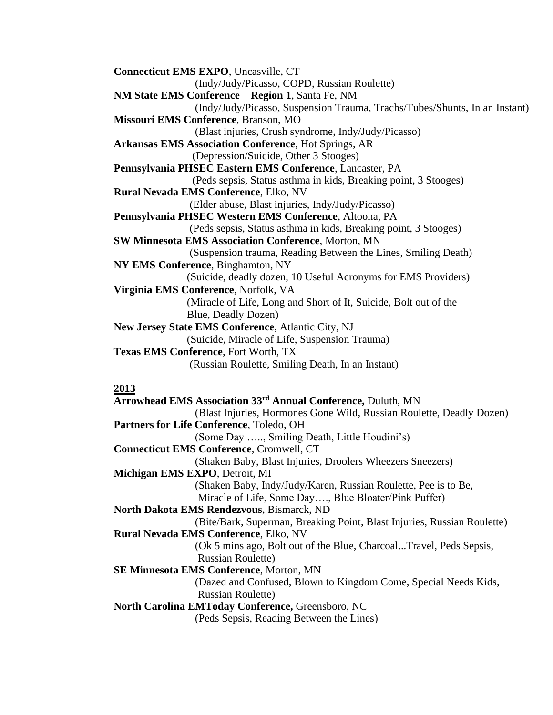**Connecticut EMS EXPO**, Uncasville, CT (Indy/Judy/Picasso, COPD, Russian Roulette) **NM State EMS Conference** – **Region 1**, Santa Fe, NM (Indy/Judy/Picasso, Suspension Trauma, Trachs/Tubes/Shunts, In an Instant) **Missouri EMS Conference**, Branson, MO (Blast injuries, Crush syndrome, Indy/Judy/Picasso) **Arkansas EMS Association Conference**, Hot Springs, AR (Depression/Suicide, Other 3 Stooges) **Pennsylvania PHSEC Eastern EMS Conference**, Lancaster, PA (Peds sepsis, Status asthma in kids, Breaking point, 3 Stooges) **Rural Nevada EMS Conference**, Elko, NV (Elder abuse, Blast injuries, Indy/Judy/Picasso) **Pennsylvania PHSEC Western EMS Conference**, Altoona, PA (Peds sepsis, Status asthma in kids, Breaking point, 3 Stooges) **SW Minnesota EMS Association Conference**, Morton, MN (Suspension trauma, Reading Between the Lines, Smiling Death) **NY EMS Conference**, Binghamton, NY (Suicide, deadly dozen, 10 Useful Acronyms for EMS Providers) **Virginia EMS Conference**, Norfolk, VA (Miracle of Life, Long and Short of It, Suicide, Bolt out of the Blue, Deadly Dozen) **New Jersey State EMS Conference**, Atlantic City, NJ (Suicide, Miracle of Life, Suspension Trauma) **Texas EMS Conference**, Fort Worth, TX (Russian Roulette, Smiling Death, In an Instant) **2013**

**Arrowhead EMS Association 33rd Annual Conference,** Duluth, MN (Blast Injuries, Hormones Gone Wild, Russian Roulette, Deadly Dozen) **Partners for Life Conference**, Toledo, OH (Some Day ….., Smiling Death, Little Houdini's) **Connecticut EMS Conference**, Cromwell, CT (Shaken Baby, Blast Injuries, Droolers Wheezers Sneezers) **Michigan EMS EXPO**, Detroit, MI (Shaken Baby, Indy/Judy/Karen, Russian Roulette, Pee is to Be, Miracle of Life, Some Day…., Blue Bloater/Pink Puffer) **North Dakota EMS Rendezvous**, Bismarck, ND (Bite/Bark, Superman, Breaking Point, Blast Injuries, Russian Roulette) **Rural Nevada EMS Conference**, Elko, NV (Ok 5 mins ago, Bolt out of the Blue, Charcoal...Travel, Peds Sepsis, Russian Roulette) **SE Minnesota EMS Conference**, Morton, MN (Dazed and Confused, Blown to Kingdom Come, Special Needs Kids, Russian Roulette) **North Carolina EMToday Conference,** Greensboro, NC (Peds Sepsis, Reading Between the Lines)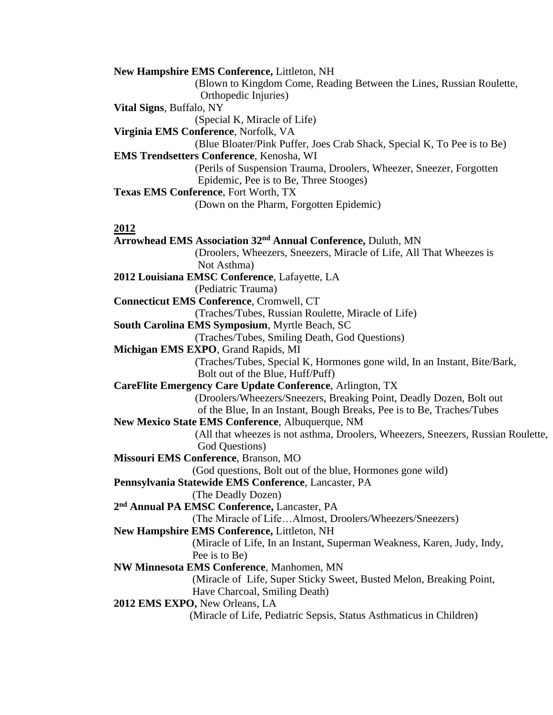**New Hampshire EMS Conference,** Littleton, NH (Blown to Kingdom Come, Reading Between the Lines, Russian Roulette, Orthopedic Injuries) **Vital Signs**, Buffalo, NY (Special K, Miracle of Life) **Virginia EMS Conference**, Norfolk, VA (Blue Bloater/Pink Puffer, Joes Crab Shack, Special K, To Pee is to Be) **EMS Trendsetters Conference**, Kenosha, WI (Perils of Suspension Trauma, Droolers, Wheezer, Sneezer, Forgotten Epidemic, Pee is to Be, Three Stooges) **Texas EMS Conference**, Fort Worth, TX (Down on the Pharm, Forgotten Epidemic)

#### **2012**

**Arrowhead EMS Association 32nd Annual Conference,** Duluth, MN (Droolers, Wheezers, Sneezers, Miracle of Life, All That Wheezes is Not Asthma) **2012 Louisiana EMSC Conference**, Lafayette, LA (Pediatric Trauma) **Connecticut EMS Conference**, Cromwell, CT (Traches/Tubes, Russian Roulette, Miracle of Life) **South Carolina EMS Symposium**, Myrtle Beach, SC (Traches/Tubes, Smiling Death, God Questions) **Michigan EMS EXPO**, Grand Rapids, MI (Traches/Tubes, Special K, Hormones gone wild, In an Instant, Bite/Bark, Bolt out of the Blue, Huff/Puff) **CareFlite Emergency Care Update Conference**, Arlington, TX (Droolers/Wheezers/Sneezers, Breaking Point, Deadly Dozen, Bolt out of the Blue, In an Instant, Bough Breaks, Pee is to Be, Traches/Tubes **New Mexico State EMS Conference**, Albuquerque, NM (All that wheezes is not asthma, Droolers, Wheezers, Sneezers, Russian Roulette, God Questions) **Missouri EMS Conference**, Branson, MO (God questions, Bolt out of the blue, Hormones gone wild) **Pennsylvania Statewide EMS Conference**, Lancaster, PA (The Deadly Dozen) **2 nd Annual PA EMSC Conference,** Lancaster, PA (The Miracle of Life…Almost, Droolers/Wheezers/Sneezers) **New Hampshire EMS Conference,** Littleton, NH (Miracle of Life, In an Instant, Superman Weakness, Karen, Judy, Indy, Pee is to Be) **NW Minnesota EMS Conference**, Manhomen, MN (Miracle of Life, Super Sticky Sweet, Busted Melon, Breaking Point, Have Charcoal, Smiling Death) **2012 EMS EXPO,** New Orleans, LA (Miracle of Life, Pediatric Sepsis, Status Asthmaticus in Children)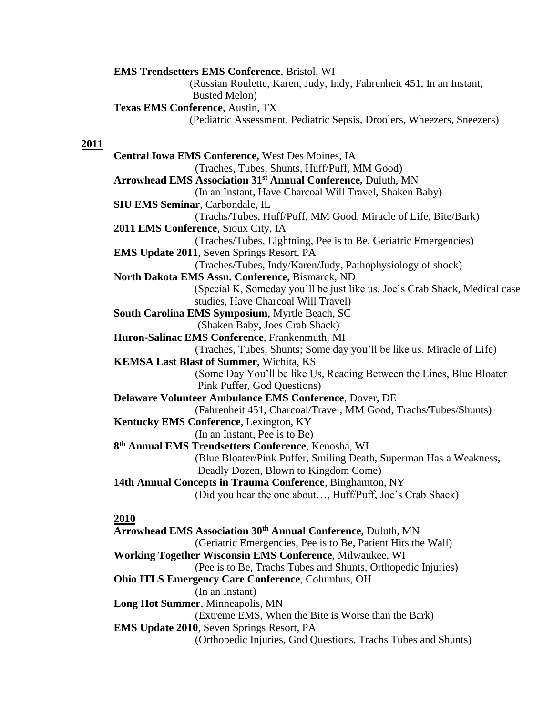**EMS Trendsetters EMS Conference**, Bristol, WI (Russian Roulette, Karen, Judy, Indy, Fahrenheit 451, In an Instant, Busted Melon) **Texas EMS Conference**, Austin, TX (Pediatric Assessment, Pediatric Sepsis, Droolers, Wheezers, Sneezers)

#### **2011**

**Central Iowa EMS Conference,** West Des Moines, IA (Traches, Tubes, Shunts, Huff/Puff, MM Good) **Arrowhead EMS Association 31 st Annual Conference,** Duluth, MN (In an Instant, Have Charcoal Will Travel, Shaken Baby) **SIU EMS Seminar**, Carbondale, IL (Trachs/Tubes, Huff/Puff, MM Good, Miracle of Life, Bite/Bark) **2011 EMS Conference**, Sioux City, IA (Traches/Tubes, Lightning, Pee is to Be, Geriatric Emergencies) **EMS Update 2011**, Seven Springs Resort, PA (Traches/Tubes, Indy/Karen/Judy, Pathophysiology of shock) **North Dakota EMS Assn. Conference,** Bismarck, ND (Special K, Someday you'll be just like us, Joe's Crab Shack, Medical case studies, Have Charcoal Will Travel) **South Carolina EMS Symposium**, Myrtle Beach, SC (Shaken Baby, Joes Crab Shack) **Huron-Salinac EMS Conference**, Frankenmuth, MI (Traches, Tubes, Shunts; Some day you'll be like us, Miracle of Life) **KEMSA Last Blast of Summer**, Wichita, KS (Some Day You'll be like Us, Reading Between the Lines, Blue Bloater Pink Puffer, God Questions) **Delaware Volunteer Ambulance EMS Conference**, Dover, DE (Fahrenheit 451, Charcoal/Travel, MM Good, Trachs/Tubes/Shunts) **Kentucky EMS Conference**, Lexington, KY (In an Instant, Pee is to Be) **8 th Annual EMS Trendsetters Conference**, Kenosha, WI (Blue Bloater/Pink Puffer, Smiling Death, Superman Has a Weakness, Deadly Dozen, Blown to Kingdom Come) **14th Annual Concepts in Trauma Conference**, Binghamton, NY (Did you hear the one about…, Huff/Puff, Joe's Crab Shack) **2010**

**Arrowhead EMS Association 30th Annual Conference,** Duluth, MN (Geriatric Emergencies, Pee is to Be, Patient Hits the Wall) **Working Together Wisconsin EMS Conference**, Milwaukee, WI (Pee is to Be, Trachs Tubes and Shunts, Orthopedic Injuries) **Ohio ITLS Emergency Care Conference**, Columbus, OH (In an Instant) **Long Hot Summer**, Minneapolis, MN (Extreme EMS, When the Bite is Worse than the Bark) **EMS Update 2010**, Seven Springs Resort, PA (Orthopedic Injuries, God Questions, Trachs Tubes and Shunts)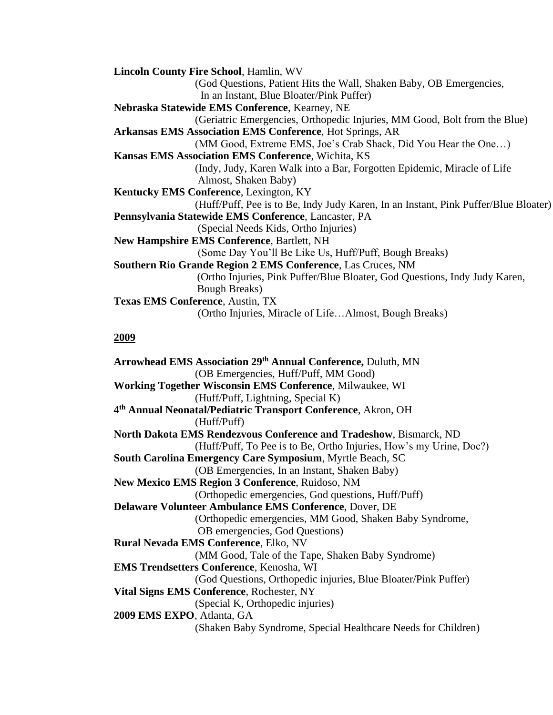| <b>Lincoln County Fire School, Hamlin, WV</b>                                       |
|-------------------------------------------------------------------------------------|
| (God Questions, Patient Hits the Wall, Shaken Baby, OB Emergencies,                 |
| In an Instant, Blue Bloater/Pink Puffer)                                            |
| Nebraska Statewide EMS Conference, Kearney, NE                                      |
| (Geriatric Emergencies, Orthopedic Injuries, MM Good, Bolt from the Blue)           |
| <b>Arkansas EMS Association EMS Conference, Hot Springs, AR</b>                     |
| (MM Good, Extreme EMS, Joe's Crab Shack, Did You Hear the One)                      |
| <b>Kansas EMS Association EMS Conference, Wichita, KS</b>                           |
| (Indy, Judy, Karen Walk into a Bar, Forgotten Epidemic, Miracle of Life             |
| Almost, Shaken Baby)                                                                |
| Kentucky EMS Conference, Lexington, KY                                              |
| (Huff/Puff, Pee is to Be, Indy Judy Karen, In an Instant, Pink Puffer/Blue Bloater) |
| Pennsylvania Statewide EMS Conference, Lancaster, PA                                |
| (Special Needs Kids, Ortho Injuries)                                                |
| <b>New Hampshire EMS Conference, Bartlett, NH</b>                                   |
| (Some Day You'll Be Like Us, Huff/Puff, Bough Breaks)                               |
| Southern Rio Grande Region 2 EMS Conference, Las Cruces, NM                         |
| (Ortho Injuries, Pink Puffer/Blue Bloater, God Questions, Indy Judy Karen,          |
| Bough Breaks)                                                                       |
| <b>Texas EMS Conference, Austin, TX</b>                                             |
| (Ortho Injuries, Miracle of LifeAlmost, Bough Breaks)                               |

#### **2009**

**Arrowhead EMS Association 29th Annual Conference,** Duluth, MN (OB Emergencies, Huff/Puff, MM Good) **Working Together Wisconsin EMS Conference**, Milwaukee, WI (Huff/Puff, Lightning, Special K) **4 th Annual Neonatal/Pediatric Transport Conference**, Akron, OH (Huff/Puff) **North Dakota EMS Rendezvous Conference and Tradeshow**, Bismarck, ND (Huff/Puff, To Pee is to Be, Ortho Injuries, How's my Urine, Doc?) **South Carolina Emergency Care Symposium**, Myrtle Beach, SC (OB Emergencies, In an Instant, Shaken Baby) **New Mexico EMS Region 3 Conference**, Ruidoso, NM (Orthopedic emergencies, God questions, Huff/Puff) **Delaware Volunteer Ambulance EMS Conference**, Dover, DE (Orthopedic emergencies, MM Good, Shaken Baby Syndrome, OB emergencies, God Questions) **Rural Nevada EMS Conference**, Elko, NV (MM Good, Tale of the Tape, Shaken Baby Syndrome) **EMS Trendsetters Conference**, Kenosha, WI (God Questions, Orthopedic injuries, Blue Bloater/Pink Puffer) **Vital Signs EMS Conference**, Rochester, NY (Special K, Orthopedic injuries) **2009 EMS EXPO**, Atlanta, GA (Shaken Baby Syndrome, Special Healthcare Needs for Children)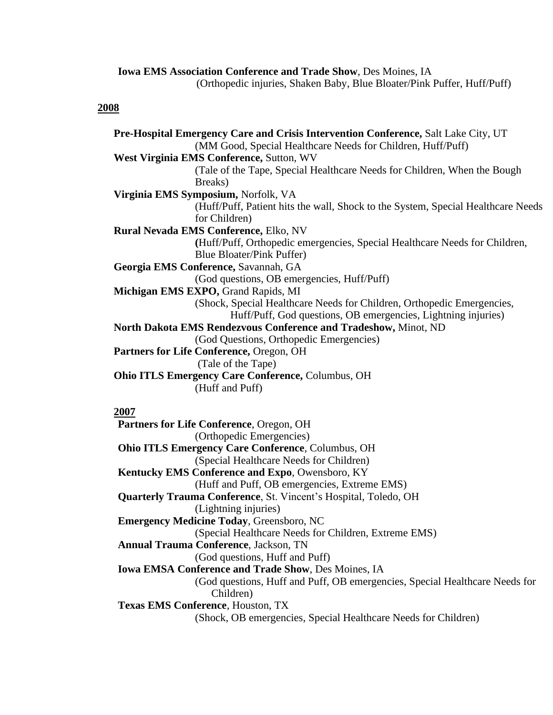**Iowa EMS Association Conference and Trade Show**, Des Moines, IA (Orthopedic injuries, Shaken Baby, Blue Bloater/Pink Puffer, Huff/Puff)

#### **2008**

**Pre-Hospital Emergency Care and Crisis Intervention Conference,** Salt Lake City, UT (MM Good, Special Healthcare Needs for Children, Huff/Puff) **West Virginia EMS Conference,** Sutton, WV (Tale of the Tape, Special Healthcare Needs for Children, When the Bough Breaks) **Virginia EMS Symposium,** Norfolk, VA (Huff/Puff, Patient hits the wall, Shock to the System, Special Healthcare Needs for Children) **Rural Nevada EMS Conference,** Elko, NV **(**Huff/Puff, Orthopedic emergencies, Special Healthcare Needs for Children, Blue Bloater/Pink Puffer) **Georgia EMS Conference,** Savannah, GA (God questions, OB emergencies, Huff/Puff) **Michigan EMS EXPO,** Grand Rapids, MI (Shock, Special Healthcare Needs for Children, Orthopedic Emergencies, Huff/Puff, God questions, OB emergencies, Lightning injuries) **North Dakota EMS Rendezvous Conference and Tradeshow,** Minot, ND (God Questions, Orthopedic Emergencies) **Partners for Life Conference,** Oregon, OH (Tale of the Tape) **Ohio ITLS Emergency Care Conference,** Columbus, OH (Huff and Puff) **2007**

**Partners for Life Conference**, Oregon, OH (Orthopedic Emergencies) **Ohio ITLS Emergency Care Conference**, Columbus, OH (Special Healthcare Needs for Children) **Kentucky EMS Conference and Expo**, Owensboro, KY (Huff and Puff, OB emergencies, Extreme EMS) **Quarterly Trauma Conference**, St. Vincent's Hospital, Toledo, OH (Lightning injuries) **Emergency Medicine Today**, Greensboro, NC (Special Healthcare Needs for Children, Extreme EMS) **Annual Trauma Conference**, Jackson, TN (God questions, Huff and Puff) **Iowa EMSA Conference and Trade Show**, Des Moines, IA (God questions, Huff and Puff, OB emergencies, Special Healthcare Needs for Children) **Texas EMS Conference**, Houston, TX (Shock, OB emergencies, Special Healthcare Needs for Children)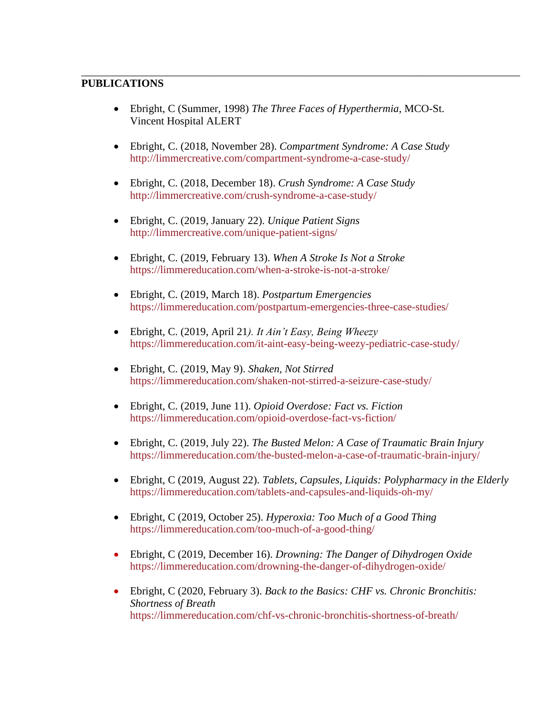#### **PUBLICATIONS**

• Ebright, C (Summer, 1998) *The Three Faces of Hyperthermia*, MCO-St. Vincent Hospital ALERT

\_\_\_\_\_\_\_\_\_\_\_\_\_\_\_\_\_\_\_\_\_\_\_\_\_\_\_\_\_\_\_\_\_\_\_\_\_\_\_\_\_\_\_\_\_\_\_\_\_\_\_\_\_\_\_\_\_\_\_\_\_\_\_\_\_\_\_\_\_\_\_\_\_\_\_\_\_\_\_\_\_

- Ebright, C. (2018, November 28). *Compartment Syndrome: A Case Study* <http://limmercreative.com/compartment-syndrome-a-case-study/>
- Ebright, C. (2018, December 18). *Crush Syndrome: A Case Study* <http://limmercreative.com/crush-syndrome-a-case-study/>
- Ebright, C. (2019, January 22). *Unique Patient Signs* <http://limmercreative.com/unique-patient-signs/>
- Ebright, C. (2019, February 13). *When A Stroke Is Not a Stroke* <https://limmereducation.com/when-a-stroke-is-not-a-stroke/>
- Ebright, C. (2019, March 18). *Postpartum Emergencies* <https://limmereducation.com/postpartum-emergencies-three-case-studies/>
- Ebright, C. (2019, April 21*). It Ain't Easy, Being Wheezy* <https://limmereducation.com/it-aint-easy-being-weezy-pediatric-case-study/>
- Ebright, C. (2019, May 9). *Shaken, Not Stirred* <https://limmereducation.com/shaken-not-stirred-a-seizure-case-study/>
- Ebright, C. (2019, June 11). *Opioid Overdose: Fact vs. Fiction* <https://limmereducation.com/opioid-overdose-fact-vs-fiction/>
- Ebright, C. (2019, July 22). *The Busted Melon: A Case of Traumatic Brain Injury* <https://limmereducation.com/the-busted-melon-a-case-of-traumatic-brain-injury/>
- Ebright, C (2019, August 22). *Tablets, Capsules, Liquids: Polypharmacy in the Elderly* <https://limmereducation.com/tablets-and-capsules-and-liquids-oh-my/>
- Ebright, C (2019, October 25). *Hyperoxia: Too Much of a Good Thing* <https://limmereducation.com/too-much-of-a-good-thing/>
- Ebright, C (2019, December 16). *Drowning: The Danger of Dihydrogen Oxide* <https://limmereducation.com/drowning-the-danger-of-dihydrogen-oxide/>
- Ebright, C (2020, February 3). *Back to the Basics: CHF vs. Chronic Bronchitis: Shortness of Breath* <https://limmereducation.com/chf-vs-chronic-bronchitis-shortness-of-breath/>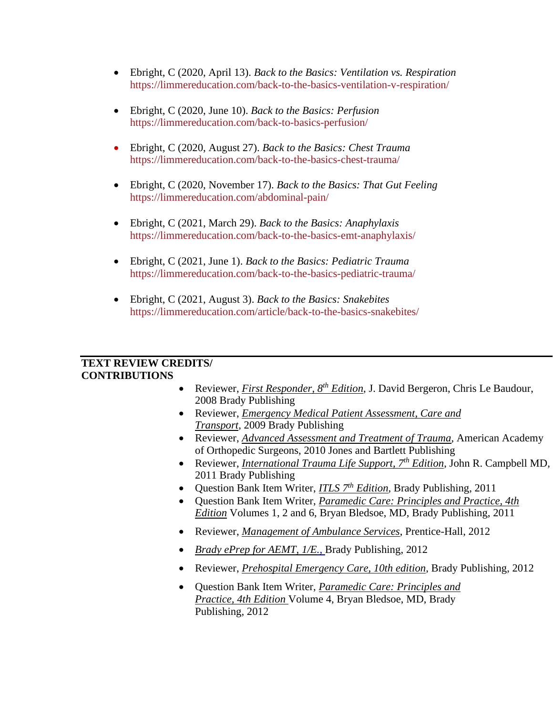- Ebright, C (2020, April 13). *Back to the Basics: Ventilation vs. Respiration*  <https://limmereducation.com/back-to-the-basics-ventilation-v-respiration/>
- Ebright, C (2020, June 10). *Back to the Basics: Perfusion* <https://limmereducation.com/back-to-basics-perfusion/>
- Ebright, C (2020, August 27). *Back to the Basics: Chest Trauma* <https://limmereducation.com/back-to-the-basics-chest-trauma/>
- Ebright, C (2020, November 17). *Back to the Basics: That Gut Feeling* <https://limmereducation.com/abdominal-pain/>
- Ebright, C (2021, March 29). *Back to the Basics: Anaphylaxis* <https://limmereducation.com/back-to-the-basics-emt-anaphylaxis/>
- Ebright, C (2021, June 1). *Back to the Basics: Pediatric Trauma* <https://limmereducation.com/back-to-the-basics-pediatric-trauma/>
- Ebright, C (2021, August 3). *Back to the Basics: Snakebites* <https://limmereducation.com/article/back-to-the-basics-snakebites/>

#### **TEXT REVIEW CREDITS/ CONTRIBUTIONS**

- Reviewer, *First Responder, 8th Edition*, [J. David Bergeron,](http://www.bradybooks.com/authors/bio.aspx?a=36400fca-5b04-4775-8812-47a944478806) [Chris Le Baudour,](http://www.bradybooks.com/authors/bio.aspx?a=71d4a1fa-96b1-4b73-ae37-d168efb57e4b) 2008 Brady Publishing
- Reviewer, *Emergency Medical Patient Assessment, Care and Transport*, 2009 Brady Publishing
- Reviewer, *Advanced Assessment and Treatment of Trauma*, American Academy of Orthopedic Surgeons, 2010 Jones and Bartlett Publishing
- Reviewer, *International Trauma Life Support, 7<sup>th</sup> Edition*, John R. Campbell MD, 2011 Brady Publishing
- Question Bank Item Writer, *ITLS 7th Edition*, Brady Publishing, 2011
- Question Bank Item Writer, *Paramedic Care: Principles and Practice, 4th Edition* Volumes 1, 2 and 6, Bryan Bledsoe, MD, Brady Publishing, 2011
- Reviewer, *Management of Ambulance Services*, Prentice-Hall, 2012
- *Brady ePrep for AEMT, 1/E.,* Brady Publishing, 2012
- Reviewer, *Prehospital Emergency Care, 10th edition*, Brady Publishing, 2012
- Question Bank Item Writer, *Paramedic Care: Principles and Practice, 4th Edition* Volume 4, Bryan Bledsoe, MD, Brady Publishing, 2012